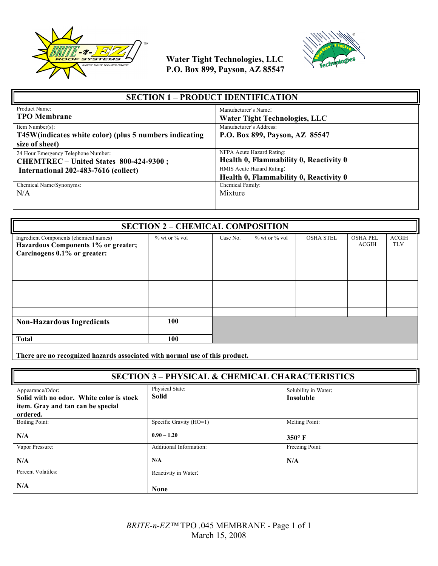



| <b>SECTION 1 - PRODUCT IDENTIFICATION</b>                                                                             |                                                                                                                                            |  |
|-----------------------------------------------------------------------------------------------------------------------|--------------------------------------------------------------------------------------------------------------------------------------------|--|
| Product Name:<br><b>TPO</b> Membrane                                                                                  | Manufacturer's Name:<br><b>Water Tight Technologies, LLC</b>                                                                               |  |
| Item Number(s):<br>T45W(indicates white color) (plus 5 numbers indicating<br>size of sheet)                           | Manufacturer's Address:<br>P.O. Box 899, Payson, AZ 85547                                                                                  |  |
| 24 Hour Emergency Telephone Number:<br>CHEMTREC - United States 800-424-9300;<br>International 202-483-7616 (collect) | NFPA Acute Hazard Rating:<br>Health 0, Flammability 0, Reactivity 0<br>HMIS Acute Hazard Rating:<br>Health 0, Flammability 0, Reactivity 0 |  |
| Chemical Name/Synonyms:<br>N/A                                                                                        | Chemical Family:<br>Mixture                                                                                                                |  |

| <b>SECTION 2 - CHEMICAL COMPOSITION</b>                                                                       |               |          |                   |                  |                          |                            |
|---------------------------------------------------------------------------------------------------------------|---------------|----------|-------------------|------------------|--------------------------|----------------------------|
| Ingredient Components (chemical names)<br>Hazardous Components 1% or greater;<br>Carcinogens 0.1% or greater: | % wt or % vol | Case No. | $%$ wt or $%$ vol | <b>OSHA STEL</b> | <b>OSHA PEL</b><br>ACGIH | <b>ACGIH</b><br><b>TLV</b> |
|                                                                                                               |               |          |                   |                  |                          |                            |
| <b>Non-Hazardous Ingredients</b>                                                                              | 100           |          |                   |                  |                          |                            |
| <b>Total</b>                                                                                                  | 100           |          |                   |                  |                          |                            |

**There are no recognized hazards associated with normal use of this product.**

| <b>SECTION 3 - PHYSICAL &amp; CHEMICAL CHARACTERISTICS</b>                                                    |                          |                                          |
|---------------------------------------------------------------------------------------------------------------|--------------------------|------------------------------------------|
| Appearance/Odor:<br>Solid with no odor. White color is stock<br>item. Gray and tan can be special<br>ordered. | Physical State:<br>Solid | Solubility in Water:<br><b>Insoluble</b> |
| <b>Boiling Point:</b>                                                                                         | Specific Gravity (HO=1)  | Melting Point:                           |
| N/A                                                                                                           | $0.90 - 1.20$            | $350^\circ$ F                            |
| Vapor Pressure:                                                                                               | Additional Information:  | Freezing Point:                          |
| N/A                                                                                                           | N/A                      | N/A                                      |
| Percent Volatiles:                                                                                            | Reactivity in Water:     |                                          |
| N/A                                                                                                           | <b>None</b>              |                                          |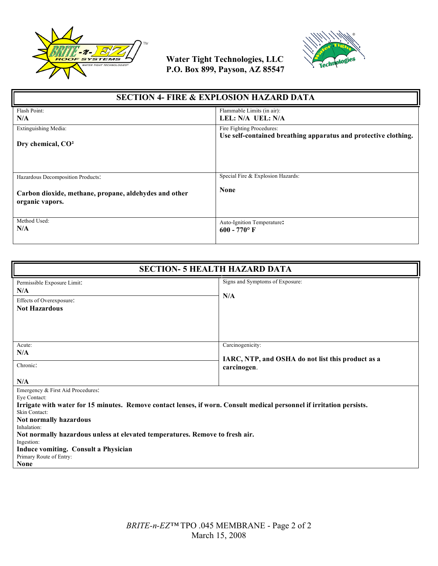



| <b>SECTION 4- FIRE &amp; EXPLOSION HAZARD DATA</b>                                                            |                                                                 |  |
|---------------------------------------------------------------------------------------------------------------|-----------------------------------------------------------------|--|
| Flash Point:                                                                                                  | Flammable Limits (in air):                                      |  |
| N/A                                                                                                           | LEL: N/A UEL: N/A                                               |  |
| Extinguishing Media:                                                                                          | Fire Fighting Procedures:                                       |  |
| Dry chemical, CO <sup>2</sup>                                                                                 | Use self-contained breathing apparatus and protective clothing. |  |
| Hazardous Decomposition Products:<br>Carbon dioxide, methane, propane, aldehydes and other<br>organic vapors. | Special Fire & Explosion Hazards:<br><b>None</b>                |  |
| Method Used:                                                                                                  | Auto-Ignition Temperature:                                      |  |
| N/A                                                                                                           | $600 - 770$ °F                                                  |  |

| <b>SECTION- 5 HEALTH HAZARD DATA</b>                                                                                                                                                                                                                                                                                                                                                                                 |                                                                                      |  |
|----------------------------------------------------------------------------------------------------------------------------------------------------------------------------------------------------------------------------------------------------------------------------------------------------------------------------------------------------------------------------------------------------------------------|--------------------------------------------------------------------------------------|--|
| Permissible Exposure Limit:<br>N/A<br>Effects of Overexposure:<br><b>Not Hazardous</b>                                                                                                                                                                                                                                                                                                                               | Signs and Symptoms of Exposure:<br>N/A                                               |  |
| Acute:<br>N/A<br>Chronic:<br>N/A                                                                                                                                                                                                                                                                                                                                                                                     | Carcinogenicity:<br>IARC, NTP, and OSHA do not list this product as a<br>carcinogen. |  |
| Emergency & First Aid Procedures:<br>Eye Contact:<br>Irrigate with water for 15 minutes. Remove contact lenses, if worn. Consult medical personnel if irritation persists.<br>Skin Contact:<br>Not normally hazardous<br>Inhalation:<br>Not normally hazardous unless at elevated temperatures. Remove to fresh air.<br>Ingestion:<br>Induce vomiting. Consult a Physician<br>Primary Route of Entry:<br><b>None</b> |                                                                                      |  |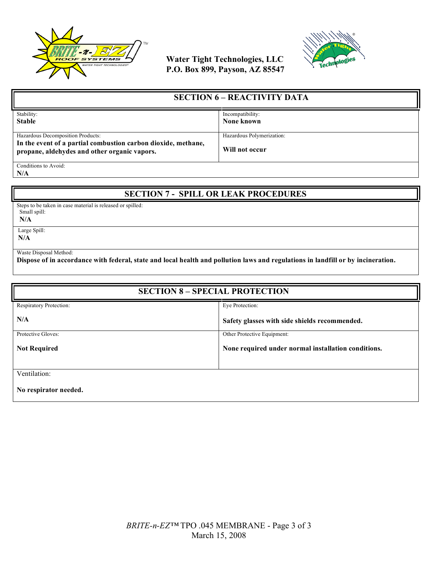



| <b>SECTION 6 – REACTIVITY DATA</b>                                                                            |                           |
|---------------------------------------------------------------------------------------------------------------|---------------------------|
| Stability:                                                                                                    | Incompatibility:          |
| <b>Stable</b>                                                                                                 | None known                |
|                                                                                                               |                           |
| Hazardous Decomposition Products:                                                                             | Hazardous Polymerization: |
| In the event of a partial combustion carbon dioxide, methane,<br>propane, aldehydes and other organic vapors. | Will not occur            |
| Conditions to Avoid:                                                                                          |                           |

**N/A**

## **SECTION 7 - SPILL OR LEAK PROCEDURES**

Steps to be taken in case material is released or spilled: Small spill:

 **N/A**

 Large Spill: **N/A**

Waste Disposal Method:

**Dispose of in accordance with federal, state and local health and pollution laws and regulations in landfill or by incineration.**

| <b>SECTION 8 - SPECIAL PROTECTION</b> |                                                     |  |
|---------------------------------------|-----------------------------------------------------|--|
| Respiratory Protection:               | Eye Protection:                                     |  |
| N/A                                   | Safety glasses with side shields recommended.       |  |
| Protective Gloves:                    | Other Protective Equipment:                         |  |
| <b>Not Required</b>                   | None required under normal installation conditions. |  |
|                                       |                                                     |  |
| Ventilation:                          |                                                     |  |
| No respirator needed.                 |                                                     |  |